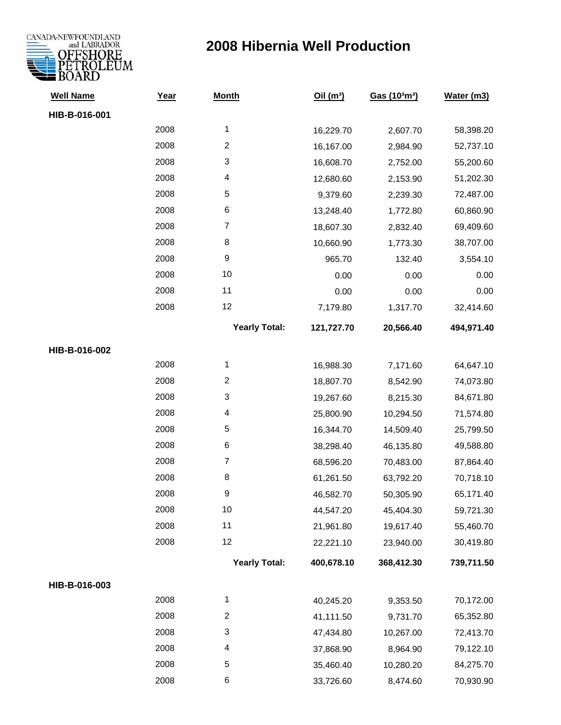

| <b>Well Name</b> | Year | <b>Month</b>         | Oil $(m^3)$ | Gas (103m3) | Water (m3) |
|------------------|------|----------------------|-------------|-------------|------------|
| HIB-B-016-001    |      |                      |             |             |            |
|                  | 2008 | 1                    | 16,229.70   | 2,607.70    | 58,398.20  |
|                  | 2008 | $\overline{2}$       | 16,167.00   | 2,984.90    | 52,737.10  |
|                  | 2008 | 3                    | 16,608.70   | 2,752.00    | 55,200.60  |
|                  | 2008 | 4                    | 12,680.60   | 2,153.90    | 51,202.30  |
|                  | 2008 | 5                    | 9,379.60    | 2,239.30    | 72,487.00  |
|                  | 2008 | 6                    | 13,248.40   | 1,772.80    | 60,860.90  |
|                  | 2008 | $\overline{7}$       | 18,607.30   | 2,832.40    | 69,409.60  |
|                  | 2008 | 8                    | 10,660.90   | 1,773.30    | 38,707.00  |
|                  | 2008 | 9                    | 965.70      | 132.40      | 3,554.10   |
|                  | 2008 | 10                   | 0.00        | 0.00        | 0.00       |
|                  | 2008 | 11                   | 0.00        | 0.00        | 0.00       |
|                  | 2008 | 12                   | 7,179.80    | 1,317.70    | 32,414.60  |
|                  |      | <b>Yearly Total:</b> | 121,727.70  | 20,566.40   | 494,971.40 |
| HIB-B-016-002    |      |                      |             |             |            |
|                  | 2008 | 1                    | 16,988.30   | 7,171.60    | 64,647.10  |
|                  | 2008 | 2                    | 18,807.70   | 8,542.90    | 74,073.80  |
|                  | 2008 | 3                    | 19,267.60   | 8,215.30    | 84,671.80  |
|                  | 2008 | 4                    | 25,800.90   | 10,294.50   | 71,574.80  |
|                  | 2008 | 5                    | 16,344.70   | 14,509.40   | 25,799.50  |
|                  | 2008 | 6                    | 38,298.40   | 46,135.80   | 49,588.80  |
|                  | 2008 | $\overline{7}$       | 68,596.20   | 70,483.00   | 87,864.40  |
|                  | 2008 | 8                    | 61,261.50   | 63,792.20   | 70,718.10  |
|                  | 2008 | 9                    | 46,582.70   | 50,305.90   | 65,171.40  |
|                  | 2008 | 10                   | 44,547.20   | 45,404.30   | 59,721.30  |
|                  | 2008 | 11                   | 21,961.80   | 19,617.40   | 55,460.70  |
|                  | 2008 | 12                   | 22,221.10   | 23,940.00   | 30,419.80  |
|                  |      | <b>Yearly Total:</b> | 400,678.10  | 368,412.30  | 739,711.50 |
| HIB-B-016-003    |      |                      |             |             |            |
|                  | 2008 | 1                    | 40,245.20   | 9,353.50    | 70,172.00  |
|                  | 2008 | $\overline{2}$       | 41,111.50   | 9,731.70    | 65,352.80  |
|                  | 2008 | 3                    | 47,434.80   | 10,267.00   | 72,413.70  |
|                  | 2008 | 4                    | 37,868.90   | 8,964.90    | 79,122.10  |
|                  | 2008 | 5                    | 35,460.40   | 10,280.20   | 84,275.70  |
|                  | 2008 | 6                    | 33,726.60   | 8,474.60    | 70,930.90  |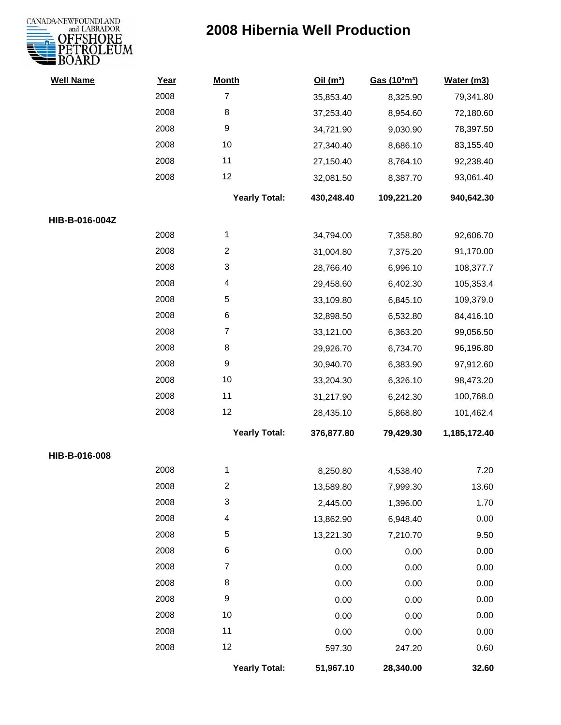

| <b>Well Name</b> | Year | <b>Month</b>         | Oil(m <sup>3</sup> ) | Gas (103m3) | Water (m3)   |
|------------------|------|----------------------|----------------------|-------------|--------------|
|                  | 2008 | $\overline{7}$       | 35,853.40            | 8,325.90    | 79,341.80    |
|                  | 2008 | 8                    | 37,253.40            | 8,954.60    | 72,180.60    |
|                  | 2008 | 9                    | 34,721.90            | 9,030.90    | 78,397.50    |
|                  | 2008 | 10                   | 27,340.40            | 8,686.10    | 83,155.40    |
|                  | 2008 | 11                   | 27,150.40            | 8,764.10    | 92,238.40    |
|                  | 2008 | 12                   | 32,081.50            | 8,387.70    | 93,061.40    |
|                  |      | <b>Yearly Total:</b> | 430,248.40           | 109,221.20  | 940,642.30   |
| HIB-B-016-004Z   |      |                      |                      |             |              |
|                  | 2008 | 1                    | 34,794.00            | 7,358.80    | 92,606.70    |
|                  | 2008 | $\overline{2}$       | 31,004.80            | 7,375.20    | 91,170.00    |
|                  | 2008 | 3                    | 28,766.40            | 6,996.10    | 108,377.7    |
|                  | 2008 | 4                    | 29,458.60            | 6,402.30    | 105,353.4    |
|                  | 2008 | 5                    | 33,109.80            | 6,845.10    | 109,379.0    |
|                  | 2008 | 6                    | 32,898.50            | 6,532.80    | 84,416.10    |
|                  | 2008 | $\overline{7}$       | 33,121.00            | 6,363.20    | 99,056.50    |
|                  | 2008 | 8                    | 29,926.70            | 6,734.70    | 96,196.80    |
|                  | 2008 | 9                    | 30,940.70            | 6,383.90    | 97,912.60    |
|                  | 2008 | 10                   | 33,204.30            | 6,326.10    | 98,473.20    |
|                  | 2008 | 11                   | 31,217.90            | 6,242.30    | 100,768.0    |
|                  | 2008 | 12                   | 28,435.10            | 5,868.80    | 101,462.4    |
|                  |      | <b>Yearly Total:</b> | 376,877.80           | 79,429.30   | 1,185,172.40 |
| HIB-B-016-008    |      |                      |                      |             |              |
|                  | 2008 | 1                    | 8,250.80             | 4,538.40    | 7.20         |
|                  | 2008 | 2                    | 13,589.80            | 7,999.30    | 13.60        |
|                  | 2008 | 3                    | 2,445.00             | 1,396.00    | 1.70         |
|                  | 2008 | 4                    | 13,862.90            | 6,948.40    | 0.00         |
|                  | 2008 | 5                    | 13,221.30            | 7,210.70    | 9.50         |
|                  | 2008 | 6                    | 0.00                 | 0.00        | 0.00         |
|                  | 2008 | $\overline{7}$       | 0.00                 | 0.00        | 0.00         |
|                  | 2008 | 8                    | 0.00                 | 0.00        | 0.00         |
|                  | 2008 | 9                    | 0.00                 | 0.00        | 0.00         |
|                  | 2008 | 10                   | 0.00                 | 0.00        | 0.00         |
|                  | 2008 | 11                   | 0.00                 | 0.00        | $0.00\,$     |
|                  | 2008 | 12                   | 597.30               | 247.20      | 0.60         |
|                  |      | <b>Yearly Total:</b> | 51,967.10            | 28,340.00   | 32.60        |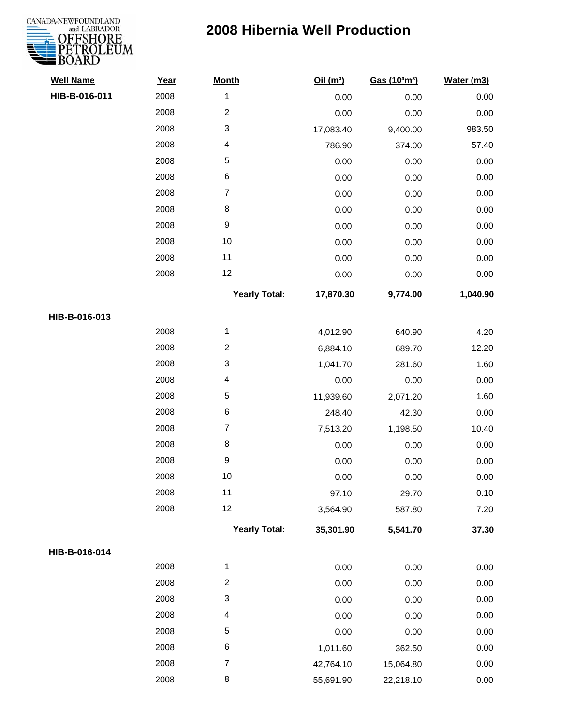# CANADA-NEWFOUNDLAND

| <b>Well Name</b> | Year | <b>Month</b>              | Oil(m <sup>3</sup> ) | Gas (103m3) | Water (m3) |
|------------------|------|---------------------------|----------------------|-------------|------------|
| HIB-B-016-011    | 2008 | $\mathbf 1$               | 0.00                 | 0.00        | 0.00       |
|                  | 2008 | $\boldsymbol{2}$          | 0.00                 | 0.00        | 0.00       |
|                  | 2008 | $\ensuremath{\mathsf{3}}$ | 17,083.40            | 9,400.00    | 983.50     |
|                  | 2008 | $\overline{\mathcal{A}}$  | 786.90               | 374.00      | 57.40      |
|                  | 2008 | $\,$ 5 $\,$               | 0.00                 | 0.00        | 0.00       |
|                  | 2008 | $\,6$                     | 0.00                 | 0.00        | 0.00       |
|                  | 2008 | $\overline{7}$            | 0.00                 | 0.00        | 0.00       |
|                  | 2008 | $\,8\,$                   | 0.00                 | 0.00        | 0.00       |
|                  | 2008 | $\boldsymbol{9}$          | 0.00                 | 0.00        | 0.00       |
|                  | 2008 | 10                        | 0.00                 | 0.00        | 0.00       |
|                  | 2008 | 11                        | 0.00                 | 0.00        | 0.00       |
|                  | 2008 | 12                        | 0.00                 | 0.00        | 0.00       |
|                  |      | <b>Yearly Total:</b>      | 17,870.30            | 9,774.00    | 1,040.90   |
| HIB-B-016-013    |      |                           |                      |             |            |
|                  | 2008 | 1                         | 4,012.90             | 640.90      | 4.20       |
|                  | 2008 | $\boldsymbol{2}$          | 6,884.10             | 689.70      | 12.20      |
|                  | 2008 | $\ensuremath{\mathsf{3}}$ | 1,041.70             | 281.60      | 1.60       |
|                  | 2008 | $\overline{\mathcal{A}}$  | 0.00                 | 0.00        | 0.00       |
|                  | 2008 | $\mathbf 5$               | 11,939.60            | 2,071.20    | 1.60       |
|                  | 2008 | $\,6$                     | 248.40               | 42.30       | 0.00       |
|                  | 2008 | $\overline{7}$            | 7,513.20             | 1,198.50    | 10.40      |
|                  | 2008 | $\,8\,$                   | 0.00                 | 0.00        | 0.00       |
|                  | 2008 | $\boldsymbol{9}$          | 0.00                 | 0.00        | 0.00       |
|                  | 2008 | $10$                      | 0.00                 | 0.00        | 0.00       |
|                  | 2008 | 11                        | 97.10                | 29.70       | 0.10       |
|                  | 2008 | 12                        | 3,564.90             | 587.80      | 7.20       |
|                  |      | <b>Yearly Total:</b>      | 35,301.90            | 5,541.70    | 37.30      |
| HIB-B-016-014    |      |                           |                      |             |            |
|                  | 2008 | $\mathbf{1}$              | 0.00                 | 0.00        | 0.00       |
|                  | 2008 | $\boldsymbol{2}$          | 0.00                 | 0.00        | 0.00       |
|                  | 2008 | 3                         | 0.00                 | 0.00        | 0.00       |
|                  | 2008 | 4                         | 0.00                 | 0.00        | 0.00       |
|                  | 2008 | $\mathbf 5$               | 0.00                 | 0.00        | 0.00       |
|                  | 2008 | $\,6$                     | 1,011.60             | 362.50      | 0.00       |
|                  | 2008 | $\boldsymbol{7}$          | 42,764.10            | 15,064.80   | 0.00       |
|                  | 2008 | $\,8\,$                   | 55,691.90            | 22,218.10   | 0.00       |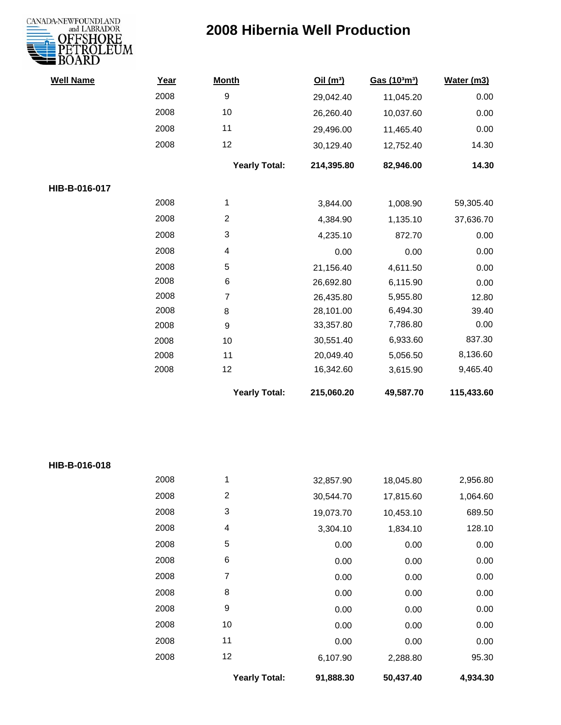

| <b>Well Name</b> | Year | <b>Month</b>         | Oil(m <sup>3</sup> ) | Gas (103m3) | Water (m3) |
|------------------|------|----------------------|----------------------|-------------|------------|
|                  | 2008 | 9                    | 29,042.40            | 11,045.20   | 0.00       |
|                  | 2008 | 10                   | 26,260.40            | 10,037.60   | 0.00       |
|                  | 2008 | 11                   | 29,496.00            | 11,465.40   | 0.00       |
|                  | 2008 | 12                   | 30,129.40            | 12,752.40   | 14.30      |
|                  |      | <b>Yearly Total:</b> | 214,395.80           | 82,946.00   | 14.30      |
| HIB-B-016-017    |      |                      |                      |             |            |
|                  | 2008 | 1                    | 3,844.00             | 1,008.90    | 59,305.40  |
|                  | 2008 | $\overline{2}$       | 4,384.90             | 1,135.10    | 37,636.70  |
|                  | 2008 | 3                    | 4,235.10             | 872.70      | 0.00       |
|                  | 2008 | 4                    | 0.00                 | 0.00        | 0.00       |
|                  | 2008 | 5                    | 21,156.40            | 4,611.50    | 0.00       |
|                  | 2008 | 6                    | 26,692.80            | 6,115.90    | 0.00       |
|                  | 2008 | $\overline{7}$       | 26,435.80            | 5,955.80    | 12.80      |
|                  | 2008 | 8                    | 28,101.00            | 6,494.30    | 39.40      |
|                  | 2008 | 9                    | 33,357.80            | 7,786.80    | 0.00       |
|                  | 2008 | 10                   | 30,551.40            | 6,933.60    | 837.30     |
|                  | 2008 | 11                   | 20,049.40            | 5,056.50    | 8,136.60   |
|                  | 2008 | 12                   | 16,342.60            | 3,615.90    | 9,465.40   |
|                  |      | <b>Yearly Total:</b> | 215,060.20           | 49,587.70   | 115,433.60 |

|               |      | <b>Yearly Total:</b>    | 91,888.30 | 50,437.40 | 4,934.30 |
|---------------|------|-------------------------|-----------|-----------|----------|
|               | 2008 | 12                      | 6,107.90  | 2,288.80  | 95.30    |
|               | 2008 | 11                      | 0.00      | 0.00      | 0.00     |
|               | 2008 | 10                      | 0.00      | 0.00      | 0.00     |
|               | 2008 | 9                       | 0.00      | 0.00      | 0.00     |
|               | 2008 | 8                       | 0.00      | 0.00      | 0.00     |
|               | 2008 | 7                       | 0.00      | 0.00      | 0.00     |
|               | 2008 | 6                       | 0.00      | 0.00      | 0.00     |
|               | 2008 | 5                       | 0.00      | 0.00      | 0.00     |
|               | 2008 | 4                       | 3,304.10  | 1,834.10  | 128.10   |
|               | 2008 | 3                       | 19,073.70 | 10,453.10 | 689.50   |
|               | 2008 | $\overline{\mathbf{c}}$ | 30,544.70 | 17,815.60 | 1,064.60 |
|               | 2008 | 1                       | 32,857.90 | 18,045.80 | 2,956.80 |
| HIB-B-016-018 |      |                         |           |           |          |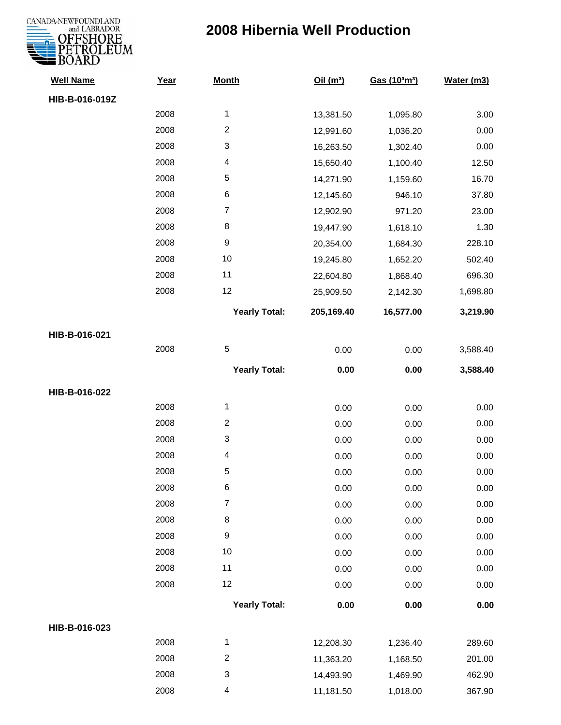

| <b>Well Name</b> | Year | <b>Month</b>            | Oil(m <sup>3</sup> ) | Gas (103m3) | Water (m3) |
|------------------|------|-------------------------|----------------------|-------------|------------|
| HIB-B-016-019Z   |      |                         |                      |             |            |
|                  | 2008 | 1                       | 13,381.50            | 1,095.80    | 3.00       |
|                  | 2008 | $\overline{2}$          | 12,991.60            | 1,036.20    | 0.00       |
|                  | 2008 | 3                       | 16,263.50            | 1,302.40    | 0.00       |
|                  | 2008 | 4                       | 15,650.40            | 1,100.40    | 12.50      |
|                  | 2008 | $\mathbf 5$             | 14,271.90            | 1,159.60    | 16.70      |
|                  | 2008 | $\,6$                   | 12,145.60            | 946.10      | 37.80      |
|                  | 2008 | $\boldsymbol{7}$        | 12,902.90            | 971.20      | 23.00      |
|                  | 2008 | 8                       | 19,447.90            | 1,618.10    | 1.30       |
|                  | 2008 | $\boldsymbol{9}$        | 20,354.00            | 1,684.30    | 228.10     |
|                  | 2008 | 10                      | 19,245.80            | 1,652.20    | 502.40     |
|                  | 2008 | 11                      | 22,604.80            | 1,868.40    | 696.30     |
|                  | 2008 | 12                      | 25,909.50            | 2,142.30    | 1,698.80   |
|                  |      | <b>Yearly Total:</b>    | 205,169.40           | 16,577.00   | 3,219.90   |
| HIB-B-016-021    |      |                         |                      |             |            |
|                  | 2008 | $\mathbf 5$             | 0.00                 | 0.00        | 3,588.40   |
|                  |      | <b>Yearly Total:</b>    | 0.00                 | 0.00        | 3,588.40   |
| HIB-B-016-022    |      |                         |                      |             |            |
|                  | 2008 | 1                       | 0.00                 | 0.00        | 0.00       |
|                  | 2008 | $\boldsymbol{2}$        | 0.00                 | 0.00        | 0.00       |
|                  | 2008 | 3                       | 0.00                 | 0.00        | 0.00       |
|                  | 2008 | 4                       | 0.00                 | 0.00        | 0.00       |
|                  | 2008 | 5                       | 0.00                 | 0.00        | 0.00       |
|                  | 2008 | 6                       | 0.00                 | 0.00        | 0.00       |
|                  | 2008 | $\overline{\mathbf{7}}$ | 0.00                 | 0.00        | 0.00       |
|                  | 2008 | $\bf 8$                 | 0.00                 | 0.00        | 0.00       |
|                  | 2008 | $\boldsymbol{9}$        | 0.00                 | 0.00        | 0.00       |
|                  | 2008 | 10                      | 0.00                 | 0.00        | 0.00       |
|                  | 2008 | 11                      | 0.00                 | 0.00        | 0.00       |
|                  | 2008 | 12                      | 0.00                 | 0.00        | 0.00       |
|                  |      | <b>Yearly Total:</b>    | 0.00                 | 0.00        | $0.00\,$   |
| HIB-B-016-023    |      |                         |                      |             |            |
|                  | 2008 | 1                       | 12,208.30            | 1,236.40    | 289.60     |
|                  | 2008 | $\overline{c}$          | 11,363.20            | 1,168.50    | 201.00     |
|                  | 2008 | 3                       | 14,493.90            | 1,469.90    | 462.90     |
|                  | 2008 | 4                       | 11,181.50            | 1,018.00    | 367.90     |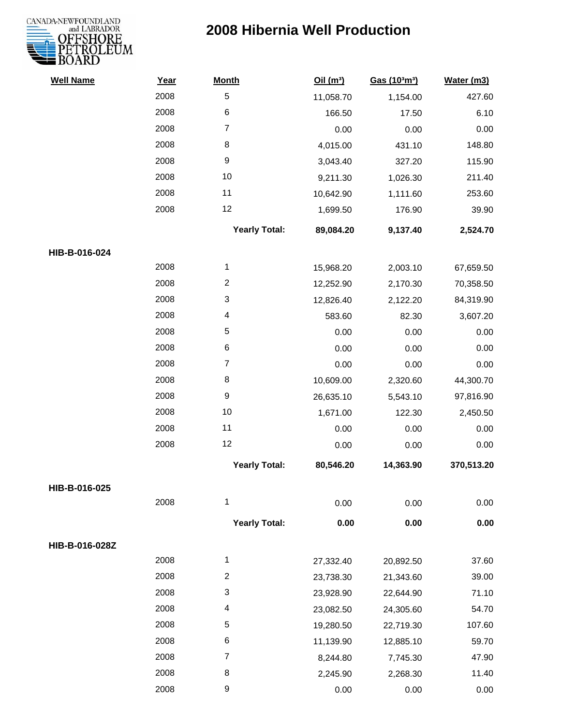

| <b>Well Name</b> | Year | <b>Month</b>         | Oil(m <sup>3</sup> ) | Gas (103m3) | Water (m3) |
|------------------|------|----------------------|----------------------|-------------|------------|
|                  | 2008 | 5                    | 11,058.70            | 1,154.00    | 427.60     |
|                  | 2008 | $\,6$                | 166.50               | 17.50       | 6.10       |
|                  | 2008 | $\overline{7}$       | 0.00                 | 0.00        | 0.00       |
|                  | 2008 | 8                    | 4,015.00             | 431.10      | 148.80     |
|                  | 2008 | $\boldsymbol{9}$     | 3,043.40             | 327.20      | 115.90     |
|                  | 2008 | 10                   | 9,211.30             | 1,026.30    | 211.40     |
|                  | 2008 | 11                   | 10,642.90            | 1,111.60    | 253.60     |
|                  | 2008 | 12                   | 1,699.50             | 176.90      | 39.90      |
|                  |      | <b>Yearly Total:</b> | 89,084.20            | 9,137.40    | 2,524.70   |
| HIB-B-016-024    |      |                      |                      |             |            |
|                  | 2008 | $\mathbf{1}$         | 15,968.20            | 2,003.10    | 67,659.50  |
|                  | 2008 | $\boldsymbol{2}$     | 12,252.90            | 2,170.30    | 70,358.50  |
|                  | 2008 | 3                    | 12,826.40            | 2,122.20    | 84,319.90  |
|                  | 2008 | 4                    | 583.60               | 82.30       | 3,607.20   |
|                  | 2008 | 5                    | 0.00                 | 0.00        | 0.00       |
|                  | 2008 | 6                    | 0.00                 | 0.00        | 0.00       |
|                  | 2008 | $\overline{7}$       | 0.00                 | 0.00        | 0.00       |
|                  | 2008 | 8                    | 10,609.00            | 2,320.60    | 44,300.70  |
|                  | 2008 | $\boldsymbol{9}$     | 26,635.10            | 5,543.10    | 97,816.90  |
|                  | 2008 | 10                   | 1,671.00             | 122.30      | 2,450.50   |
|                  | 2008 | 11                   | 0.00                 | 0.00        | 0.00       |
|                  | 2008 | 12                   | 0.00                 | 0.00        | 0.00       |
|                  |      | <b>Yearly Total:</b> | 80,546.20            | 14,363.90   | 370,513.20 |
| HIB-B-016-025    |      |                      |                      |             |            |
|                  | 2008 | 1                    | 0.00                 | 0.00        | 0.00       |
|                  |      | <b>Yearly Total:</b> | 0.00                 | 0.00        | 0.00       |
| HIB-B-016-028Z   |      |                      |                      |             |            |
|                  | 2008 | $\mathbf{1}$         | 27,332.40            | 20,892.50   | 37.60      |
|                  | 2008 | $\boldsymbol{2}$     | 23,738.30            | 21,343.60   | 39.00      |
|                  | 2008 | 3                    | 23,928.90            | 22,644.90   | 71.10      |
|                  | 2008 | 4                    | 23,082.50            | 24,305.60   | 54.70      |
|                  | 2008 | 5                    | 19,280.50            | 22,719.30   | 107.60     |
|                  | 2008 | 6                    | 11,139.90            | 12,885.10   | 59.70      |
|                  | 2008 | 7                    | 8,244.80             | 7,745.30    | 47.90      |
|                  | 2008 | 8                    | 2,245.90             | 2,268.30    | 11.40      |
|                  | 2008 | 9                    | 0.00                 | 0.00        | 0.00       |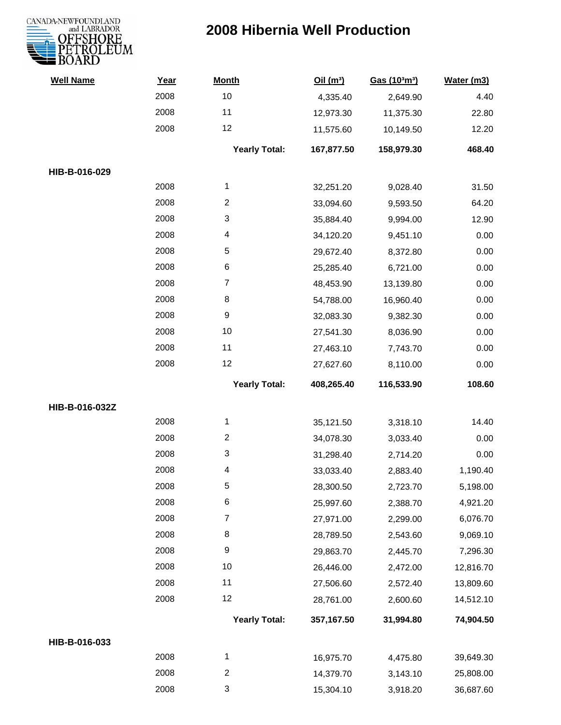

| <b>Well Name</b> | Year | <b>Month</b>              | Oil(m <sup>3</sup> ) | Gas (103m <sup>3</sup> ) | Water (m3) |
|------------------|------|---------------------------|----------------------|--------------------------|------------|
|                  | 2008 | 10                        | 4,335.40             | 2,649.90                 | 4.40       |
|                  | 2008 | 11                        | 12,973.30            | 11,375.30                | 22.80      |
|                  | 2008 | 12                        | 11,575.60            | 10,149.50                | 12.20      |
|                  |      | <b>Yearly Total:</b>      | 167,877.50           | 158,979.30               | 468.40     |
| HIB-B-016-029    |      |                           |                      |                          |            |
|                  | 2008 | 1                         | 32,251.20            | 9,028.40                 | 31.50      |
|                  | 2008 | $\overline{2}$            | 33,094.60            | 9,593.50                 | 64.20      |
|                  | 2008 | 3                         | 35,884.40            | 9,994.00                 | 12.90      |
|                  | 2008 | 4                         | 34,120.20            | 9,451.10                 | 0.00       |
|                  | 2008 | $\sqrt{5}$                | 29,672.40            | 8,372.80                 | 0.00       |
|                  | 2008 | $\,6$                     | 25,285.40            | 6,721.00                 | 0.00       |
|                  | 2008 | $\overline{7}$            | 48,453.90            | 13,139.80                | 0.00       |
|                  | 2008 | 8                         | 54,788.00            | 16,960.40                | 0.00       |
|                  | 2008 | $\boldsymbol{9}$          | 32,083.30            | 9,382.30                 | 0.00       |
|                  | 2008 | $10$                      | 27,541.30            | 8,036.90                 | 0.00       |
|                  | 2008 | 11                        | 27,463.10            | 7,743.70                 | 0.00       |
|                  | 2008 | 12                        | 27,627.60            | 8,110.00                 | 0.00       |
|                  |      | <b>Yearly Total:</b>      | 408,265.40           | 116,533.90               | 108.60     |
| HIB-B-016-032Z   |      |                           |                      |                          |            |
|                  | 2008 | 1                         | 35,121.50            | 3,318.10                 | 14.40      |
|                  | 2008 | $\overline{2}$            | 34,078.30            | 3,033.40                 | 0.00       |
|                  | 2008 | 3                         | 31,298.40            | 2,714.20                 | 0.00       |
|                  | 2008 | 4                         | 33,033.40            | 2,883.40                 | 1,190.40   |
|                  | 2008 | 5                         | 28,300.50            | 2,723.70                 | 5,198.00   |
|                  | 2008 | $\,6$                     | 25,997.60            | 2,388.70                 | 4,921.20   |
|                  | 2008 | $\overline{7}$            | 27,971.00            | 2,299.00                 | 6,076.70   |
|                  | 2008 | 8                         | 28,789.50            | 2,543.60                 | 9,069.10   |
|                  | 2008 | $\boldsymbol{9}$          | 29,863.70            | 2,445.70                 | 7,296.30   |
|                  | 2008 | 10                        | 26,446.00            | 2,472.00                 | 12,816.70  |
|                  | 2008 | 11                        | 27,506.60            | 2,572.40                 | 13,809.60  |
|                  | 2008 | 12                        | 28,761.00            | 2,600.60                 | 14,512.10  |
|                  |      | <b>Yearly Total:</b>      | 357,167.50           | 31,994.80                | 74,904.50  |
| HIB-B-016-033    |      |                           |                      |                          |            |
|                  | 2008 | $\mathbf 1$               | 16,975.70            | 4,475.80                 | 39,649.30  |
|                  | 2008 | $\overline{2}$            | 14,379.70            | 3,143.10                 | 25,808.00  |
|                  | 2008 | $\ensuremath{\mathsf{3}}$ | 15,304.10            | 3,918.20                 | 36,687.60  |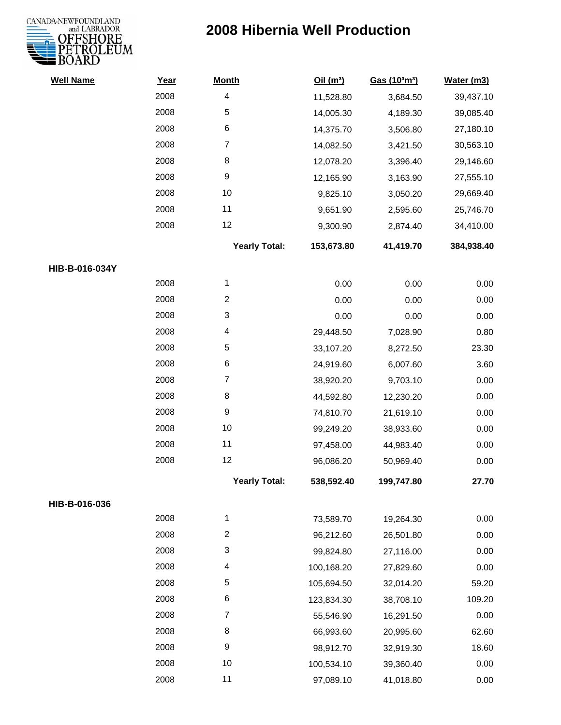

| <b>Well Name</b> | Year | <b>Month</b>            | Oil(m <sup>3</sup> ) | Gas (103m3) | Water (m3) |
|------------------|------|-------------------------|----------------------|-------------|------------|
|                  | 2008 | $\overline{\mathbf{4}}$ | 11,528.80            | 3,684.50    | 39,437.10  |
|                  | 2008 | $\sqrt{5}$              | 14,005.30            | 4,189.30    | 39,085.40  |
|                  | 2008 | 6                       | 14,375.70            | 3,506.80    | 27,180.10  |
|                  | 2008 | $\overline{7}$          | 14,082.50            | 3,421.50    | 30,563.10  |
|                  | 2008 | 8                       | 12,078.20            | 3,396.40    | 29,146.60  |
|                  | 2008 | $\boldsymbol{9}$        | 12,165.90            | 3,163.90    | 27,555.10  |
|                  | 2008 | 10                      | 9,825.10             | 3,050.20    | 29,669.40  |
|                  | 2008 | 11                      | 9,651.90             | 2,595.60    | 25,746.70  |
|                  | 2008 | 12                      | 9,300.90             | 2,874.40    | 34,410.00  |
|                  |      | <b>Yearly Total:</b>    | 153,673.80           | 41,419.70   | 384,938.40 |
| HIB-B-016-034Y   |      |                         |                      |             |            |
|                  | 2008 | 1                       | 0.00                 | 0.00        | 0.00       |
|                  | 2008 | $\overline{2}$          | 0.00                 | 0.00        | 0.00       |
|                  | 2008 | 3                       | 0.00                 | 0.00        | 0.00       |
|                  | 2008 | 4                       | 29,448.50            | 7,028.90    | 0.80       |
|                  | 2008 | $\,$ 5 $\,$             | 33,107.20            | 8,272.50    | 23.30      |
|                  | 2008 | $\,6$                   | 24,919.60            | 6,007.60    | 3.60       |
|                  | 2008 | 7                       | 38,920.20            | 9,703.10    | 0.00       |
|                  | 2008 | 8                       | 44,592.80            | 12,230.20   | 0.00       |
|                  | 2008 | $\boldsymbol{9}$        | 74,810.70            | 21,619.10   | 0.00       |
|                  | 2008 | 10                      | 99,249.20            | 38,933.60   | 0.00       |
|                  | 2008 | 11                      | 97,458.00            | 44,983.40   | 0.00       |
|                  | 2008 | 12                      | 96,086.20            | 50,969.40   | 0.00       |
|                  |      | <b>Yearly Total:</b>    | 538,592.40           | 199,747.80  | 27.70      |
| HIB-B-016-036    |      |                         |                      |             |            |
|                  | 2008 | 1                       | 73,589.70            | 19,264.30   | 0.00       |
|                  | 2008 | $\overline{\mathbf{c}}$ | 96,212.60            | 26,501.80   | 0.00       |
|                  | 2008 | 3                       | 99,824.80            | 27,116.00   | 0.00       |
|                  | 2008 | 4                       | 100,168.20           | 27,829.60   | 0.00       |
|                  | 2008 | 5                       | 105,694.50           | 32,014.20   | 59.20      |
|                  | 2008 | 6                       | 123,834.30           | 38,708.10   | 109.20     |
|                  | 2008 | $\overline{7}$          | 55,546.90            | 16,291.50   | 0.00       |
|                  | 2008 | 8                       | 66,993.60            | 20,995.60   | 62.60      |
|                  | 2008 | $\boldsymbol{9}$        | 98,912.70            | 32,919.30   | 18.60      |
|                  | 2008 | 10                      | 100,534.10           | 39,360.40   | 0.00       |
|                  | 2008 | 11                      | 97,089.10            | 41,018.80   | 0.00       |
|                  |      |                         |                      |             |            |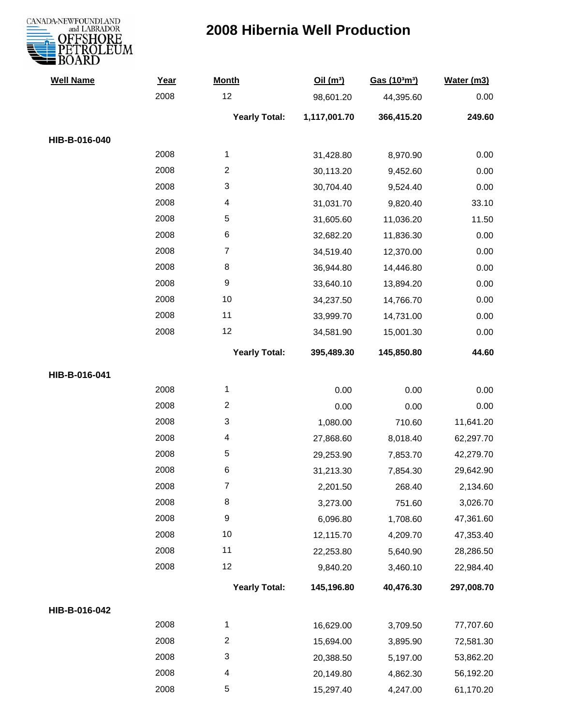

| <b>Well Name</b> | Year | <b>Month</b>              | Oil(m <sup>3</sup> ) | Gas (103m3) | Water (m3) |
|------------------|------|---------------------------|----------------------|-------------|------------|
|                  | 2008 | 12                        | 98,601.20            | 44,395.60   | 0.00       |
|                  |      | <b>Yearly Total:</b>      | 1,117,001.70         | 366,415.20  | 249.60     |
| HIB-B-016-040    |      |                           |                      |             |            |
|                  | 2008 | 1                         | 31,428.80            | 8,970.90    | 0.00       |
|                  | 2008 | $\overline{2}$            | 30,113.20            | 9,452.60    | 0.00       |
|                  | 2008 | $\ensuremath{\mathsf{3}}$ | 30,704.40            | 9,524.40    | 0.00       |
|                  | 2008 | 4                         | 31,031.70            | 9,820.40    | 33.10      |
|                  | 2008 | $\sqrt{5}$                | 31,605.60            | 11,036.20   | 11.50      |
|                  | 2008 | $\,6$                     | 32,682.20            | 11,836.30   | 0.00       |
|                  | 2008 | $\boldsymbol{7}$          | 34,519.40            | 12,370.00   | 0.00       |
|                  | 2008 | $\,8\,$                   | 36,944.80            | 14,446.80   | 0.00       |
|                  | 2008 | $\boldsymbol{9}$          | 33,640.10            | 13,894.20   | 0.00       |
|                  | 2008 | 10                        | 34,237.50            | 14,766.70   | 0.00       |
|                  | 2008 | 11                        | 33,999.70            | 14,731.00   | 0.00       |
|                  | 2008 | 12                        | 34,581.90            | 15,001.30   | 0.00       |
|                  |      | <b>Yearly Total:</b>      | 395,489.30           | 145,850.80  | 44.60      |
| HIB-B-016-041    |      |                           |                      |             |            |
|                  | 2008 | $\mathbf{1}$              | 0.00                 | 0.00        | 0.00       |
|                  | 2008 | $\sqrt{2}$                | 0.00                 | 0.00        | 0.00       |
|                  | 2008 | 3                         | 1,080.00             | 710.60      | 11,641.20  |
|                  | 2008 | 4                         | 27,868.60            | 8,018.40    | 62,297.70  |
|                  | 2008 | $\mathbf 5$               | 29,253.90            | 7,853.70    | 42,279.70  |
|                  | 2008 | 6                         | 31,213.30            | 7,854.30    | 29,642.90  |
|                  | 2008 | 7                         | 2,201.50             | 268.40      | 2,134.60   |
|                  | 2008 | 8                         | 3,273.00             | 751.60      | 3,026.70   |
|                  | 2008 | $\boldsymbol{9}$          | 6,096.80             | 1,708.60    | 47,361.60  |
|                  | 2008 | $10$                      | 12,115.70            | 4,209.70    | 47,353.40  |
|                  | 2008 | 11                        | 22,253.80            | 5,640.90    | 28,286.50  |
|                  | 2008 | 12                        | 9,840.20             | 3,460.10    | 22,984.40  |
|                  |      | <b>Yearly Total:</b>      | 145,196.80           | 40,476.30   | 297,008.70 |
| HIB-B-016-042    |      |                           |                      |             |            |
|                  | 2008 | $\mathbf{1}$              | 16,629.00            | 3,709.50    | 77,707.60  |
|                  | 2008 | $\overline{c}$            | 15,694.00            | 3,895.90    | 72,581.30  |
|                  | 2008 | 3                         | 20,388.50            | 5,197.00    | 53,862.20  |
|                  | 2008 | $\overline{\mathcal{A}}$  | 20,149.80            | 4,862.30    | 56,192.20  |
|                  | 2008 | 5                         | 15,297.40            | 4,247.00    | 61,170.20  |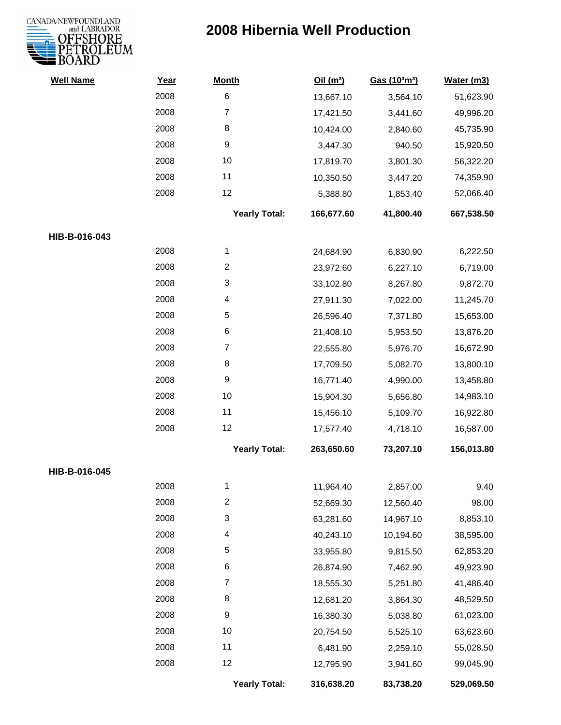

| <b>Well Name</b> | Year | <b>Month</b>         | Oil(m <sup>3</sup> ) | Gas (103m3) | Water (m3) |
|------------------|------|----------------------|----------------------|-------------|------------|
|                  | 2008 | 6                    | 13,667.10            | 3,564.10    | 51,623.90  |
|                  | 2008 | $\overline{7}$       | 17,421.50            | 3,441.60    | 49,996.20  |
|                  | 2008 | 8                    | 10,424.00            | 2,840.60    | 45,735.90  |
|                  | 2008 | 9                    | 3,447.30             | 940.50      | 15,920.50  |
|                  | 2008 | 10                   | 17,819.70            | 3,801.30    | 56,322.20  |
|                  | 2008 | 11                   | 10,350.50            | 3,447.20    | 74,359.90  |
|                  | 2008 | 12                   | 5,388.80             | 1,853.40    | 52,066.40  |
|                  |      | <b>Yearly Total:</b> | 166,677.60           | 41,800.40   | 667,538.50 |
| HIB-B-016-043    |      |                      |                      |             |            |
|                  | 2008 | 1                    | 24,684.90            | 6,830.90    | 6,222.50   |
|                  | 2008 | $\overline{c}$       | 23,972.60            | 6,227.10    | 6,719.00   |
|                  | 2008 | 3                    | 33,102.80            | 8,267.80    | 9,872.70   |
|                  | 2008 | 4                    | 27,911.30            | 7,022.00    | 11,245.70  |
|                  | 2008 | 5                    | 26,596.40            | 7,371.80    | 15,653.00  |
|                  | 2008 | 6                    | 21,408.10            | 5,953.50    | 13,876.20  |
|                  | 2008 | 7                    | 22,555.80            | 5,976.70    | 16,672.90  |
|                  | 2008 | 8                    | 17,709.50            | 5,082.70    | 13,800.10  |
|                  | 2008 | 9                    | 16,771.40            | 4,990.00    | 13,458.80  |
|                  | 2008 | 10                   | 15,904.30            | 5,656.80    | 14,983.10  |
|                  | 2008 | 11                   | 15,456.10            | 5,109.70    | 16,922.80  |
|                  | 2008 | 12                   | 17,577.40            | 4,718.10    | 16,587.00  |
|                  |      | <b>Yearly Total:</b> | 263,650.60           | 73,207.10   | 156,013.80 |
| HIB-B-016-045    |      |                      |                      |             |            |
|                  | 2008 | 1                    | 11,964.40            | 2,857.00    | 9.40       |
|                  | 2008 | $\overline{2}$       | 52,669.30            | 12,560.40   | 98.00      |
|                  | 2008 | 3                    | 63,281.60            | 14,967.10   | 8,853.10   |
|                  | 2008 | 4                    | 40,243.10            | 10,194.60   | 38,595.00  |
|                  | 2008 | 5                    | 33,955.80            | 9,815.50    | 62,853.20  |
|                  | 2008 | 6                    | 26,874.90            | 7,462.90    | 49,923.90  |
|                  | 2008 | 7                    | 18,555.30            | 5,251.80    | 41,486.40  |
|                  | 2008 | 8                    | 12,681.20            | 3,864.30    | 48,529.50  |
|                  | 2008 | 9                    | 16,380.30            | 5,038.80    | 61,023.00  |
|                  | 2008 | 10                   | 20,754.50            | 5,525.10    | 63,623.60  |
|                  | 2008 | 11                   | 6,481.90             | 2,259.10    | 55,028.50  |
|                  | 2008 | 12                   | 12,795.90            | 3,941.60    | 99,045.90  |
|                  |      | <b>Yearly Total:</b> | 316,638.20           | 83,738.20   | 529,069.50 |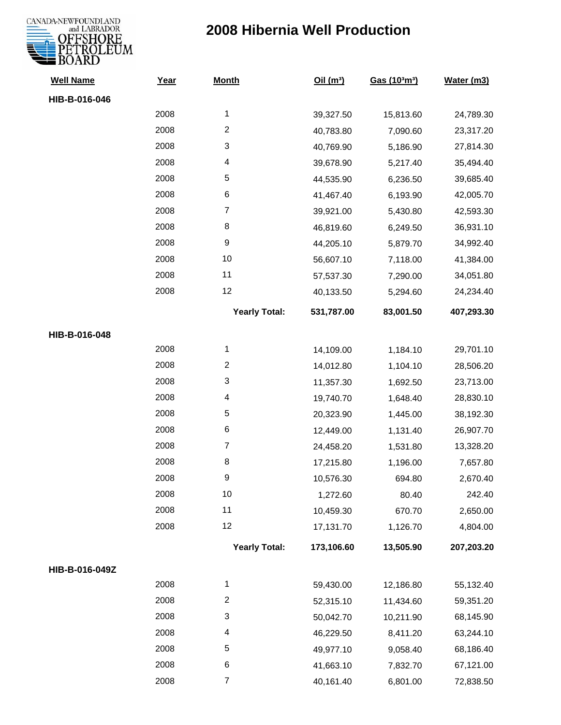

| <b>Well Name</b> | Year | <b>Month</b>              | Oil(m <sup>3</sup> ) | Gas (103m3) | Water (m3) |
|------------------|------|---------------------------|----------------------|-------------|------------|
| HIB-B-016-046    |      |                           |                      |             |            |
|                  | 2008 | $\mathbf{1}$              | 39,327.50            | 15,813.60   | 24,789.30  |
|                  | 2008 | $\overline{2}$            | 40,783.80            | 7,090.60    | 23,317.20  |
|                  | 2008 | $\ensuremath{\mathsf{3}}$ | 40,769.90            | 5,186.90    | 27,814.30  |
|                  | 2008 | 4                         | 39,678.90            | 5,217.40    | 35,494.40  |
|                  | 2008 | 5                         | 44,535.90            | 6,236.50    | 39,685.40  |
|                  | 2008 | 6                         | 41,467.40            | 6,193.90    | 42,005.70  |
|                  | 2008 | $\overline{7}$            | 39,921.00            | 5,430.80    | 42,593.30  |
|                  | 2008 | 8                         | 46,819.60            | 6,249.50    | 36,931.10  |
|                  | 2008 | $\boldsymbol{9}$          | 44,205.10            | 5,879.70    | 34,992.40  |
|                  | 2008 | 10                        | 56,607.10            | 7,118.00    | 41,384.00  |
|                  | 2008 | 11                        | 57,537.30            | 7,290.00    | 34,051.80  |
|                  | 2008 | 12                        | 40,133.50            | 5,294.60    | 24,234.40  |
|                  |      | <b>Yearly Total:</b>      | 531,787.00           | 83,001.50   | 407,293.30 |
| HIB-B-016-048    |      |                           |                      |             |            |
|                  | 2008 | $\mathbf{1}$              | 14,109.00            | 1,184.10    | 29,701.10  |
|                  | 2008 | $\overline{2}$            | 14,012.80            | 1,104.10    | 28,506.20  |
|                  | 2008 | $\ensuremath{\mathsf{3}}$ | 11,357.30            | 1,692.50    | 23,713.00  |
|                  | 2008 | 4                         | 19,740.70            | 1,648.40    | 28,830.10  |
|                  | 2008 | 5                         | 20,323.90            | 1,445.00    | 38,192.30  |
|                  | 2008 | $\,6$                     | 12,449.00            | 1,131.40    | 26,907.70  |
|                  | 2008 | $\overline{7}$            | 24,458.20            | 1,531.80    | 13,328.20  |
|                  | 2008 | 8                         | 17,215.80            | 1,196.00    | 7,657.80   |
|                  | 2008 | $\boldsymbol{9}$          | 10,576.30            | 694.80      | 2,670.40   |
|                  | 2008 | 10                        | 1,272.60             | 80.40       | 242.40     |
|                  | 2008 | 11                        | 10,459.30            | 670.70      | 2,650.00   |
|                  | 2008 | 12                        | 17,131.70            | 1,126.70    | 4,804.00   |
|                  |      | <b>Yearly Total:</b>      | 173,106.60           | 13,505.90   | 207,203.20 |
| HIB-B-016-049Z   |      |                           |                      |             |            |
|                  | 2008 | $\mathbf{1}$              | 59,430.00            | 12,186.80   | 55,132.40  |
|                  | 2008 | $\overline{2}$            | 52,315.10            | 11,434.60   | 59,351.20  |
|                  | 2008 | $\ensuremath{\mathsf{3}}$ | 50,042.70            | 10,211.90   | 68,145.90  |
|                  | 2008 | 4                         | 46,229.50            | 8,411.20    | 63,244.10  |
|                  | 2008 | 5                         | 49,977.10            | 9,058.40    | 68,186.40  |
|                  | 2008 | 6                         | 41,663.10            | 7,832.70    | 67,121.00  |
|                  | 2008 | $\overline{7}$            | 40,161.40            | 6,801.00    | 72,838.50  |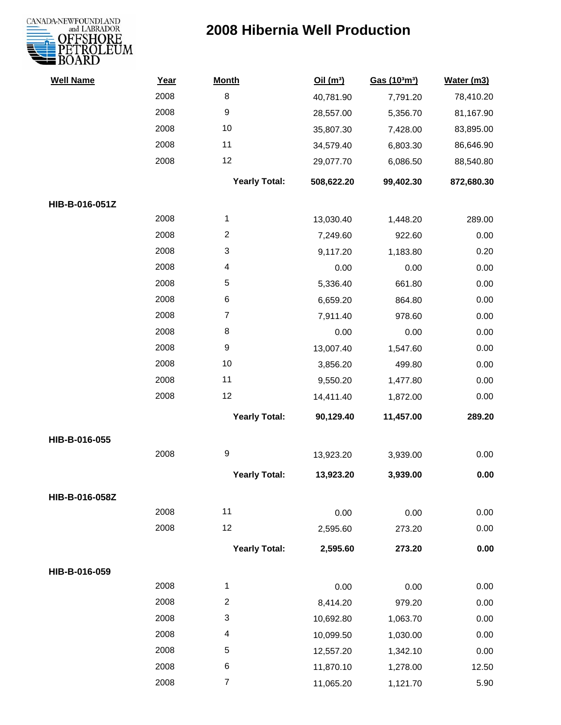

| <b>Well Name</b> | Year | <b>Month</b>             | Oil(m <sup>3</sup> ) | Gas (103m3) | Water (m3) |
|------------------|------|--------------------------|----------------------|-------------|------------|
|                  | 2008 | 8                        | 40,781.90            | 7,791.20    | 78,410.20  |
|                  | 2008 | 9                        | 28,557.00            | 5,356.70    | 81,167.90  |
|                  | 2008 | 10                       | 35,807.30            | 7,428.00    | 83,895.00  |
|                  | 2008 | 11                       | 34,579.40            | 6,803.30    | 86,646.90  |
|                  | 2008 | 12                       | 29,077.70            | 6,086.50    | 88,540.80  |
|                  |      | <b>Yearly Total:</b>     | 508,622.20           | 99,402.30   | 872,680.30 |
| HIB-B-016-051Z   |      |                          |                      |             |            |
|                  | 2008 | 1                        | 13,030.40            | 1,448.20    | 289.00     |
|                  | 2008 | $\overline{c}$           | 7,249.60             | 922.60      | 0.00       |
|                  | 2008 | 3                        | 9,117.20             | 1,183.80    | 0.20       |
|                  | 2008 | $\overline{\mathcal{A}}$ | 0.00                 | 0.00        | 0.00       |
|                  | 2008 | 5                        | 5,336.40             | 661.80      | 0.00       |
|                  | 2008 | 6                        | 6,659.20             | 864.80      | 0.00       |
|                  | 2008 | $\overline{7}$           | 7,911.40             | 978.60      | 0.00       |
|                  | 2008 | 8                        | 0.00                 | 0.00        | 0.00       |
|                  | 2008 | 9                        | 13,007.40            | 1,547.60    | 0.00       |
|                  | 2008 | 10                       | 3,856.20             | 499.80      | 0.00       |
|                  | 2008 | 11                       | 9,550.20             | 1,477.80    | 0.00       |
|                  | 2008 | 12                       | 14,411.40            | 1,872.00    | 0.00       |
|                  |      | <b>Yearly Total:</b>     | 90,129.40            | 11,457.00   | 289.20     |
| HIB-B-016-055    |      |                          |                      |             |            |
|                  | 2008 | 9                        | 13,923.20            | 3,939.00    | 0.00       |
|                  |      | <b>Yearly Total:</b>     | 13,923.20            | 3,939.00    | 0.00       |
| HIB-B-016-058Z   |      |                          |                      |             |            |
|                  | 2008 | 11                       | 0.00                 | 0.00        | 0.00       |
|                  | 2008 | 12                       | 2,595.60             | 273.20      | 0.00       |
|                  |      | <b>Yearly Total:</b>     | 2,595.60             | 273.20      | 0.00       |
| HIB-B-016-059    |      |                          |                      |             |            |
|                  | 2008 | $\mathbf{1}$             | 0.00                 | 0.00        | 0.00       |
|                  | 2008 | $\overline{c}$           | 8,414.20             | 979.20      | 0.00       |
|                  | 2008 | 3                        | 10,692.80            | 1,063.70    | 0.00       |
|                  | 2008 | $\overline{\mathcal{A}}$ | 10,099.50            | 1,030.00    | 0.00       |
|                  | 2008 | 5                        | 12,557.20            | 1,342.10    | 0.00       |
|                  | 2008 | 6                        | 11,870.10            | 1,278.00    | 12.50      |
|                  | 2008 | $\overline{7}$           | 11,065.20            | 1,121.70    | 5.90       |